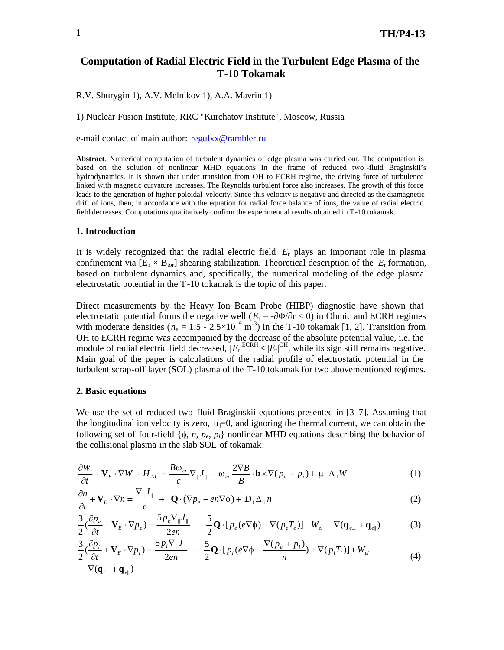## **Computation of Radial Electric Field in the Turbulent Edge Plasma of the T-10 Tokamak**

R.V. Shurygin 1), A.V. Melnikov 1), A.A. Mavrin 1)

1) Nuclear Fusion Institute, RRC "Kurchatov Institute", Moscow, Russia

e-mail contact of main author: r[egulxx@rambler.ru](regulxx@rambler.ru)

**Abstract**. Numerical computation of turbulent dynamics of edge plasma was carried out. The computation is based on the solution of nonlinear MHD equations in the frame of reduced two -fluid Braginskii's hydrodynamics. It is shown that under transition from OH to ECRH regime, the driving force of turbulence linked with magnetic curvature increases. The Reynolds turbulent force also increases. The growth of this force leads to the generation of higher poloidal velocity. Since this velocity is negative and directed as the diamagnetic drift of ions, then, in accordance with the equation for radial force balance of ions, the value of radial electric field decreases. Computations qualitatively confirm the experiment al results obtained in T-10 tokamak.

#### **1. Introduction**

It is widely recognized that the radial electric field *E*<sup>r</sup> plays an important role in plasma confinement via  $[E_r \times B_{tor}]$  shearing stabilization. Theoretical description of the  $E_r$  formation, based on turbulent dynamics and, specifically, the numerical modeling of the edge plasma electrostatic potential in the T-10 tokamak is the topic of this paper.

Direct measurements by the Heavy Ion Beam Probe (HIBP) diagnostic have shown that electrostatic potential forms the negative well ( $r = -1/r < 0$ ) in Ohmic and ECRH regimes with moderate densities ( $n_e = 1.5 - 2.5 \times 10^{19}$  m<sup>-3</sup>) in the T-10 tokamak [1, 2]. Transition from OH to ECRH regime was accompanied by the decrease of the absolute potential value, i.e. the module of radial electric field decreased,  $|E_r|^{\text{ECRH}} < |E_r|^{\text{OH}}$ , while its sign still remains negative. Main goal of the paper is calculations of the radial profile of electrostatic potential in the turbulent scrap-off layer (SOL) plasma of the -10 tokamak for two abovementioned regimes.

### **2. Basic equations**

We use the set of reduced two-fluid Braginskii equations presented in [3 -7]. Assuming that the longitudinal ion velocity is zero,  $u_{\parallel}=0$ , and ignoring the thermal current, we can obtain the following set of four-field  $\{\phi, n, p_e, p_i\}$  nonlinear MHD equations describing the behavior of the collisional plasma in the slab SOL of tokamak:

$$
\frac{\partial W}{\partial t} + \mathbf{V}_E \cdot \nabla W + H_{NL} = \frac{B \omega_{ci}}{c} \nabla_{\parallel} J_{\parallel} - \omega_{ci} \frac{2 \nabla B}{B} \cdot \mathbf{b} \times \nabla (p_e + p_i) + \mu_{\perp} \Delta_{\perp} W \tag{1}
$$

$$
\frac{\partial n}{\partial t} + \mathbf{V}_E \cdot \nabla n = \frac{\nabla_{\parallel} J_{\parallel}}{e} + \mathbf{Q} \cdot (\nabla p_e - en \nabla \phi) + D_{\perp} \Delta_{\perp} n \tag{2}
$$

$$
\frac{3}{2}(\frac{\partial p_e}{\partial t} + \mathbf{V}_E \cdot \nabla p_e) = \frac{5p_e \nabla_{\parallel} J_{\parallel}}{2en} - \frac{5}{2} \mathbf{Q} \cdot [p_e(e \nabla \phi) - \nabla (p_e T_e)] - W_{ei} - \nabla (\mathbf{q}_{e\perp} + \mathbf{q}_{e\parallel})
$$
(3)

$$
\frac{3}{2}(\frac{\partial p_i}{\partial t} + \mathbf{V}_E \cdot \nabla p_i) = \frac{5p_i \nabla_{\parallel} J_{\parallel}}{2en} - \frac{5}{2} \mathbf{Q} \cdot [p_i(e \nabla \phi - \frac{\nabla (p_e + p_i)}{n}) + \nabla (p_i T_i)] + W_{ei}
$$
\n
$$
-\nabla (\mathbf{q}_{i\perp} + \mathbf{q}_{e\parallel})
$$
\n(4)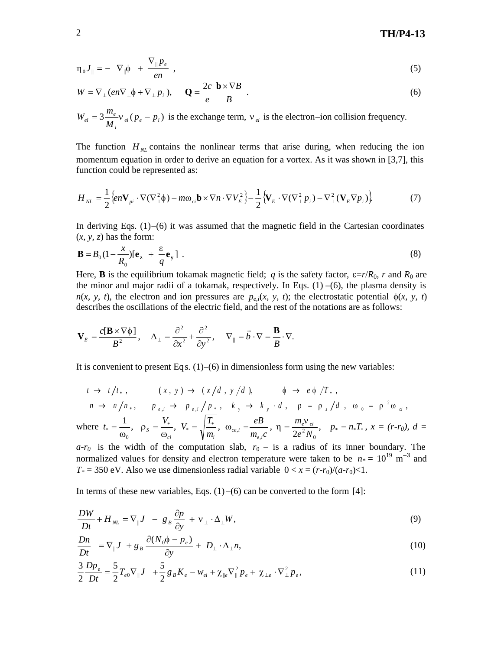# 2 **TH/P4-13**

$$
\eta_0 J_{\parallel} = - \nabla_{\parallel} \phi + \frac{\nabla_{\parallel} p_e}{en} , \qquad (5)
$$

$$
W = \nabla_{\perp} (en\nabla_{\perp} \phi + \nabla_{\perp} p_i), \qquad \mathbf{Q} = \frac{2c}{e} \frac{\mathbf{b} \times \nabla B}{B} \tag{6}
$$

$$
W_{ei} = 3 \frac{m_e}{M_i} v_{ei} (p_e - p_i)
$$
 is the exchange term,  $v_{ei}$  is the electron–ion collision frequency.

The function  $H<sub>M</sub>$  contains the nonlinear terms that arise during, when reducing the ion momentum equation in order to derive an equation for a vortex. As it was shown in [3,7], this function could be represented as:

$$
H_{NL} = \frac{1}{2} \left\{ en\mathbf{V}_{pi} \cdot \nabla (\nabla_{\perp}^2 \phi) - mo_{ci} \mathbf{b} \times \nabla n \cdot \nabla V_E^2 \right\} - \frac{1}{2} \left\{ \mathbf{V}_E \cdot \nabla (\nabla_{\perp}^2 p_i) - \nabla_{\perp}^2 (\mathbf{V}_E \nabla p_i) \right\} \tag{7}
$$

In deriving Eqs.  $(1)$ – $(6)$  it was assumed that the magnetic field in the Cartesian coordinates  $(x, y, z)$  has the form:

$$
\mathbf{B} = B_0 \left(1 - \frac{x}{R_0}\right) \left[\mathbf{e}_z + \frac{\varepsilon}{q} \mathbf{e}_y\right] \tag{8}
$$

Here, **B** is the equilibrium tokamak magnetic field; *q* is the safety factor,  $\varepsilon = r/R_0$ , *r* and  $R_0$  are the minor and major radii of a tokamak, respectively. In Eqs.  $(1)$  –(6), the plasma density is  $n(x, y, t)$ , the electron and ion pressures are  $p_{e,i}(x, y, t)$ ; the electrostatic potential  $\phi(x, y, t)$ describes the oscillations of the electric field, and the rest of the notations are as follows:

$$
\mathbf{V}_E = \frac{c[\mathbf{B} \times \nabla \phi]}{B^2}, \quad \Delta_{\perp} = \frac{\partial^2}{\partial x^2} + \frac{\partial^2}{\partial y^2}, \quad \nabla_{\parallel} = \vec{b} \cdot \nabla = \frac{\mathbf{B}}{B} \cdot \nabla.
$$

It is convenient to present Eqs.  $(1)$ – $(6)$  in dimensionless form using the new variables:

$$
t \rightarrow t/t_*, \qquad (x, y) \rightarrow (x/d, y/d), \qquad \phi \rightarrow e \phi /T_*,
$$
  
\n
$$
n \rightarrow n/n_*, \qquad p_{e,i} \rightarrow p_{e,i} / p_*, \quad k_y \rightarrow k_y \cdot d, \quad \rho = \rho_s / d, \quad \omega_0 = \rho^2 \omega_{ci},
$$

where  $m_{e,i}c$ *m*  $t_* = \frac{1}{s}$ ,  $\rho_s = \frac{V_*}{s}$ ,  $V_* = \sqrt{\frac{T_s}{T_s}}$ *e i ce i ci*  $\sqrt{n_i}$ *S* ,  $^*, V_* = \sqrt{\frac{I_*}{I_*}}, \omega_{ce}$ 0  $V_* = \frac{1}{\Omega}, \quad \rho_S = \frac{V_*}{\Omega}, \quad V_* = \sqrt{\frac{T_*}{\Omega}}, \quad \omega_{ce,i} =$  $\omega$  $\rho$  $\omega$ ,  $\eta = \frac{n_e e^v e^i}{2 \pi^2 M}, \quad p_* = n_* T_*$  $\frac{e^{\mathbf{v}} e^i}{^2 N_0},$ 2  $p_* = n_*T$  $e^2N$  $\eta = \frac{m_e v_{ei}}{2.2 M}$ ,  $p_* = n_* T_*$ ,  $x = (r-r_0)$ ,  $d =$ 

 $a-r<sub>0</sub>$  is the width of the computation slab,  $r<sub>0</sub> -$  is a radius of its inner boundary. The normalized values for density and electron temperature were taken to be  $n* = 10^{19} \text{ m}^{-3}$  and  $T^* = 350$  eV. Also we use dimensionless radial variable  $0 < x = (r - r_0)/(a - r_0) < 1$ .

In terms of these new variables, Eqs.  $(1)$  –(6) can be converted to the form [4]:

$$
\frac{DW}{Dt} + H_{NL} = \nabla_{\parallel} J - g_B \frac{\partial p}{\partial y} + \nu_{\perp} \cdot \Delta_{\perp} W, \tag{9}
$$

$$
\frac{Dn}{Dt} = \nabla_{\parallel} J + g_B \frac{\partial (N_0 \phi - p_e)}{\partial y} + D_{\perp} \cdot \Delta_{\perp} n, \tag{10}
$$

$$
\frac{3}{2}\frac{Dp_e}{Dt} = \frac{5}{2}T_{e0}\nabla_{\parallel}J + \frac{5}{2}g_BK_e - w_{ei} + \chi_{\parallel e}\nabla_{\parallel}^2 p_e + \chi_{\perp e}\cdot\nabla_{\perp}^2 p_e, \qquad (11)
$$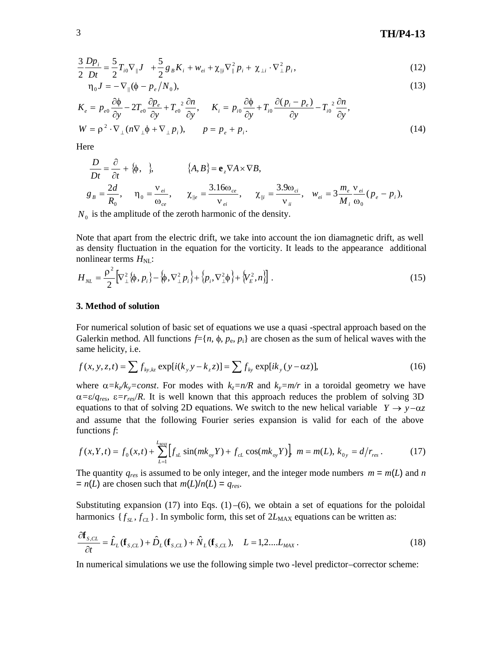# 3 **TH/P4-13**

$$
\frac{3}{2}\frac{Dp_i}{Dt} = \frac{5}{2}T_{i0}\nabla_{\parallel}J + \frac{5}{2}g_BK_i + w_{ei} + \chi_{\parallel i}\nabla_{\parallel}^2p_i + \chi_{\perp i}\cdot\nabla_{\perp}^2p_i,
$$
\n(12)

$$
\eta_0 J = -\nabla_{\parallel} (\phi - p_e / N_0), \qquad (13)
$$

$$
K_e = p_{e0} \frac{\partial \phi}{\partial y} - 2T_{e0} \frac{\partial p_e}{\partial y} + T_{e0}^2 \frac{\partial n}{\partial y}, \qquad K_i = p_{i0} \frac{\partial \phi}{\partial y} + T_{i0} \frac{\partial (p_i - p_e)}{\partial y} - T_{i0}^2 \frac{\partial n}{\partial y},
$$
  
\n
$$
W = \rho^2 \cdot \nabla_\perp (n \nabla_\perp \phi + \nabla_\perp p_i), \qquad p = p_e + p_i.
$$
\n(14)

Here

$$
\frac{D}{Dt} = \frac{\partial}{\partial t} + \{\phi, \quad \}, \qquad \{A, B\} = \mathbf{e}_z \nabla A \times \nabla B,
$$
\n
$$
g_B = \frac{2d}{R_0}, \qquad \eta_0 = \frac{\mathbf{v}_{ei}}{\omega_{ce}}, \qquad \chi_{\parallel e} = \frac{3.16\omega_{ce}}{\mathbf{v}_{ei}}, \qquad \chi_{\parallel i} = \frac{3.9\omega_{ci}}{\mathbf{v}_{ii}}, \qquad \mathbf{w}_{ei} = 3\frac{m_e}{M_i}\frac{\mathbf{v}_{ei}}{\omega_0} (p_e - p_i),
$$

 $N_0$  is the amplitude of the zeroth harmonic of the density.

Note that apart from the electric drift, we take into account the ion diamagnetic drift, as well as density fluctuation in the equation for the vorticity. It leads to the appearance additional nonlinear terms  $H<sub>NL</sub>$ :

$$
H_{NL} = \frac{\rho^2}{2} \Big[ \nabla_{\perp}^2 \{ \phi, p_i \} - \{ \phi, \nabla_{\perp}^2 p_i \} + \{ p_i, \nabla_{\perp}^2 \phi \} + \{ V_E^2, n \} \Big] \ . \tag{15}
$$

#### **3. Method of solution**

For numerical solution of basic set of equations we use a quasi -spectral approach based on the Galerkin method. All functions  $f = \{n, \phi, p_e, p_i\}$  are chosen as the sum of helical waves with the same helicity, i.e.

$$
f(x, y, z, t) = \sum f_{ky,kz} \exp[i(k_y y - k_z z)] = \sum f_{ky} \exp[ik_y (y - \alpha z)],
$$
 (16)

where  $\alpha = k_z/k_y = const.$  For modes with  $k_z = n/R$  and  $k_y = m/r$  in a toroidal geometry we have  $\alpha = \varepsilon / q_{res}$ ,  $\varepsilon = r_{res}/R$ . It is well known that this approach reduces the problem of solving 3D equations to that of solving 2D equations. We switch to the new helical variable  $Y \rightarrow y-\alpha z$ and assume that the following Fourier series expansion is valid for each of the above functions *f*:

$$
f(x,Y,t) = f_0(x,t) + \sum_{L=1}^{L_{MAX}} \left[ f_{sL} \sin(mk_{oy}Y) + f_{cL} \cos(mk_{oy}Y) \right] \ m = m(L), \ k_{0y} = d/r_{res} \,. \tag{17}
$$

The quantity  $q_{res}$  is assumed to be only integer, and the integer mode numbers  $m = m(L)$  and *n*  $= n(L)$  are chosen such that  $m(L)/n(L) = q_{res}$ .

Substituting expansion (17) into Eqs.  $(1)$  –(6), we obtain a set of equations for the poloidal harmonics  $\{f_{SL}, f_{CL}\}\$ . In symbolic form, this set of  $2L_{MAX}$  equations can be written as:

$$
\frac{\partial \mathbf{f}_{s,CL}}{\partial t} = \hat{L}_L(\mathbf{f}_{s,CL}) + \hat{D}_L(\mathbf{f}_{s,CL}) + \hat{N}_L(\mathbf{f}_{s,CL}), \quad L = 1, 2, \dots, L_{MAX} \,. \tag{18}
$$

In numerical simulations we use the following simple two -level predictor–corrector scheme: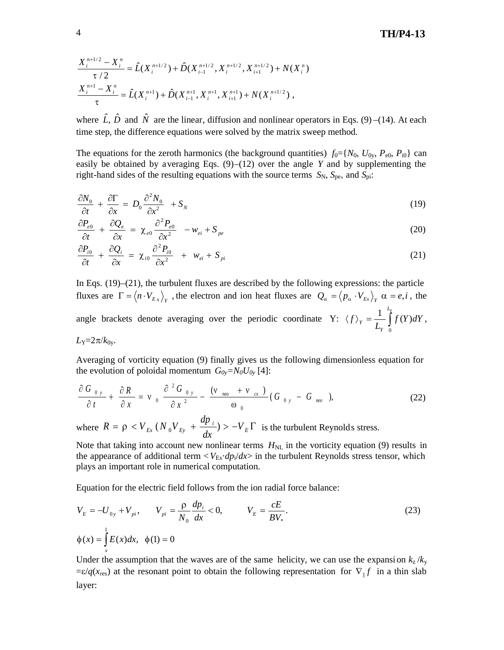$$
\frac{X_i^{n+1/2} - X_i^n}{\tau/2} = \hat{L}(X_i^{n+1/2}) + \hat{D}(X_{i-1}^{n+1/2}, X_i^{n+1/2}, X_{i+1}^{n+1/2}) + N(X_i^n)
$$
  

$$
\frac{X_i^{n+1} - X_i^n}{\tau} = \hat{L}(X_i^{n+1}) + \hat{D}(X_{i-1}^{n+1}, X_i^{n+1}, X_{i+1}^{n+1}) + N(X_i^{n+1/2}),
$$

where  $\hat{L}$ ,  $\hat{D}$  and  $\hat{N}$  are the linear, diffusion and nonlinear operators in Eqs. (9) –(14). At each time step, the difference equations were solved by the matrix sweep method.

The equations for the zeroth harmonics (the background quantities)  $f_0 = \{N_0, U_{0v}, P_{e0}, P_{i0}\}\)$  can easily be obtained by averaging Eqs. (9)–(12) over the angle *Y* and by supplementing the right-hand sides of the resulting equations with the source terms  $S_N$ ,  $S_{pe}$ , and  $S_{pi}$ :

$$
\frac{\partial N_0}{\partial t} + \frac{\partial \Gamma}{\partial x} = D_0 \frac{\partial^2 N_0}{\partial x^2} + S_N \tag{19}
$$

$$
\frac{\partial P_{e0}}{\partial t} + \frac{\partial Q_e}{\partial x} = \chi_{e0} \frac{\partial^2 P_{e0}}{\partial x^2} - w_{ei} + S_{pe}
$$
\n(20)

$$
\frac{\partial P_{i0}}{\partial t} + \frac{\partial Q_i}{\partial x} = \chi_{i0} \frac{\partial^2 P_{i0}}{\partial x^2} + w_{ei} + S_{pi}
$$
 (21)

In Eqs. (19)–(21), the turbulent fluxes are described by the following expressions: the particle fluxes are  $\Gamma = \langle n \cdot V_{E_x} \rangle_Y$ , the electron and ion heat fluxes are  $Q_\alpha = \langle p_\alpha \cdot V_{E_x} \rangle_Y \alpha = e, i$ , the angle brackets denote averaging over the periodic coordinate Y:  $\langle f \rangle_Y = \frac{1}{L} \int$ *LY Y*  $f_Y = \frac{1}{I} \int f(Y) dY$ *L f* 0  $\frac{1}{\epsilon} \int_{-\epsilon}^{L_Y} f(Y) dY,$ 

 $L_Y = 2\pi/k_{0y}$ .

Averaging of vorticity equation (9) finally gives us the following dimensionless equation for the evolution of poloidal momentum  $G_{0y} = N_0 U_{0y}$  [4]:

$$
\frac{\partial G_{0y}}{\partial t} + \frac{\partial R}{\partial x} = v_0 \frac{\partial^2 G_{0y}}{\partial x^2} - \frac{(v_{\text{neo}} + v_{\text{cx}})}{\omega_0} (G_{0y} - G_{\text{neo}}), \qquad (22)
$$

where  $R = \rho \langle V_{Ex} (N_0 V_{Ey} + \frac{dp_i}{dx}) \rangle - V_E \Gamma$ *dp*  $R = \rho \langle V_{Ex} (N_0 V_{Ey} + \frac{\omega P_{I}}{I_{Y}}) \rangle - V_{E} \Gamma$  is the turbulent Reynolds stress.

Note that taking into account new nonlinear terms  $H<sub>NL</sub>$  in the vorticity equation (9) results in the appearance of additional term  $\langle V_{Ex} \cdot dp_i/dx \rangle$  in the turbulent Reynolds stress tensor, which plays an important role in numerical computation.

Equation for the electric field follows from the ion radial force balance:

$$
V_{E} = -U_{0y} + V_{pi}, \qquad V_{pi} = \frac{\rho}{N_{0}} \frac{dp_{i}}{dx} < 0, \qquad V_{E} = \frac{\rho}{BV_{*}}.
$$
  
\n
$$
\phi(x) = \int_{x}^{1} E(x) dx, \quad \phi(1) = 0
$$
\n(23)

Under the assumption that the waves are of the same helicity, we can use the expansion  $k_z / k_y$  $=\varepsilon/q(x_{\text{res}})$  at the resonant point to obtain the following representation for  $\nabla_{\parallel} f$  in a thin slab layer: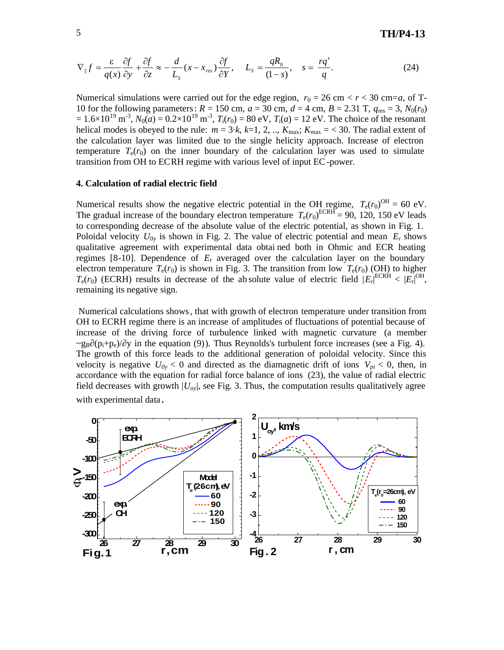$$
\nabla_{\parallel} f = \frac{\varepsilon}{q(x)} \frac{\partial f}{\partial y} + \frac{\partial f}{\partial z} \approx -\frac{d}{L_s} (x - x_{res}) \frac{\partial f}{\partial Y}, \quad L_s = \frac{qR_0}{(1 - s)}, \quad s = \frac{rq'}{q}.
$$
 (24)

Numerical simulations were carried out for the edge region,  $r_0 = 26$  cm  $\lt r \lt 30$  cm=*a*, of T-10 for the following parameters:  $R = 150$  cm,  $a = 30$  cm,  $d = 4$  cm,  $B = 2.31$  T,  $q_{res} = 3$ ,  $N_0(r_0)$  $= 1.6 \times 10^{19} \text{ m}^3$ ,  $N_0(a) = 0.2 \times 10^{19} \text{ m}^3$ ,  $T_1(r_0) = 80 \text{ eV}$ ,  $T_1(a) = 12 \text{ eV}$ . The choice of the resonant helical modes is obeyed to the rule:  $m = 3 \cdot k$ ,  $k=1, 2, ...$ ,  $K_{\text{max}}$ ;  $K_{\text{max}} = 30$ . The radial extent of the calculation layer was limited due to the single helicity approach. Increase of electron temperature  $T_e(r_0)$  on the inner boundary of the calculation layer was used to simulate transition from OH to ECRH regime with various level of input EC-power.

### **4. Calculation of radial electric field**

Numerical results show the negative electric potential in the OH regime,  $T_e(r_0)^{OH} = 60$  eV. The gradual increase of the boundary electron temperature  $T_e(r_0)^{ECRH} = 90$ , 120, 150 eV leads to corresponding decrease of the absolute value of the electric potential, as shown in Fig. 1. Poloidal velocity  $U_{0y}$  is shown in Fig. 2. The value of electric potential and mean  $E_r$  shows qualitative agreement with experimental data obtai ned both in Ohmic and ECR heating regimes [8-10]. Dependence of *E*<sup>r</sup> averaged over the calculation layer on the boundary electron temperature  $T_e(r_0)$  is shown in Fig. 3. The transition from low  $T_e(r_0)$  (OH) to higher  $T_e(r_0)$  (ECRH) results in decrease of the absolute value of electric field  $|E_r|^{\text{ECRH}} < |E_r|^{\text{OH}}$ , remaining its negative sign.

Numerical calculations shows, that with growth of electron temperature under transition from OH to ECRH regime there is an increase of amplitudes of fluctuations of potential because of increase of the driving force of turbulence linked with magnetic curvature (a member  $\sim g_B$  ( $p_i+p_e$ )/ y in the equation (9)). Thus Reynolds's turbulent force increases (see a Fig. 4). The growth of this force leads to the additional generation of poloidal velocity. Since this velocity is negative  $U_{0y} < 0$  and directed as the diamagnetic drift of ions  $V_{pi} < 0$ , then, in accordance with the equation for radial force balance of ions (23), the value of radial electric field decreases with growth |*Uoy*|, see Fig. 3. Thus, the computation results qualitatively agree with experimental data.

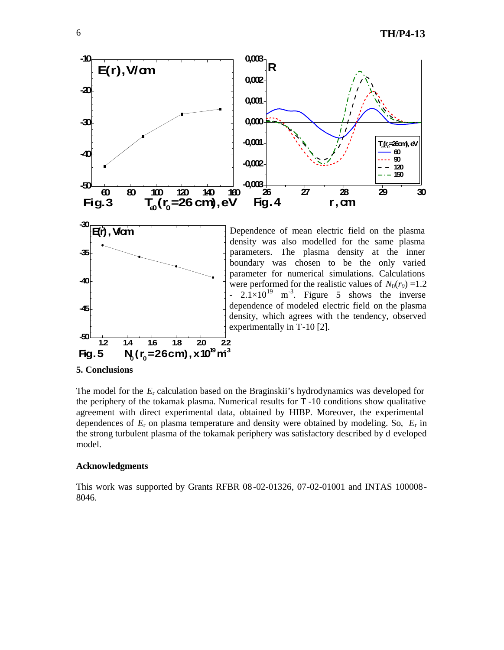

## **5. Conclusions**

The model for the  $E_r$  calculation based on the Braginskii's hydrodynamics was developed for the periphery of the tokamak plasma. Numerical results for T -10 conditions show qualitative agreement with direct experimental data, obtained by HIBP. Moreover, the experimental dependences of *E*<sup>r</sup> on plasma temperature and density were obtained by modeling. So, *E*<sup>r</sup> in the strong turbulent plasma of the tokamak periphery was satisfactory described by d eveloped model.

#### **Acknowledgments**

This work was supported by Grants RFBR 08-02-01326, 07-02-01001 and INTAS 100008- 8046.